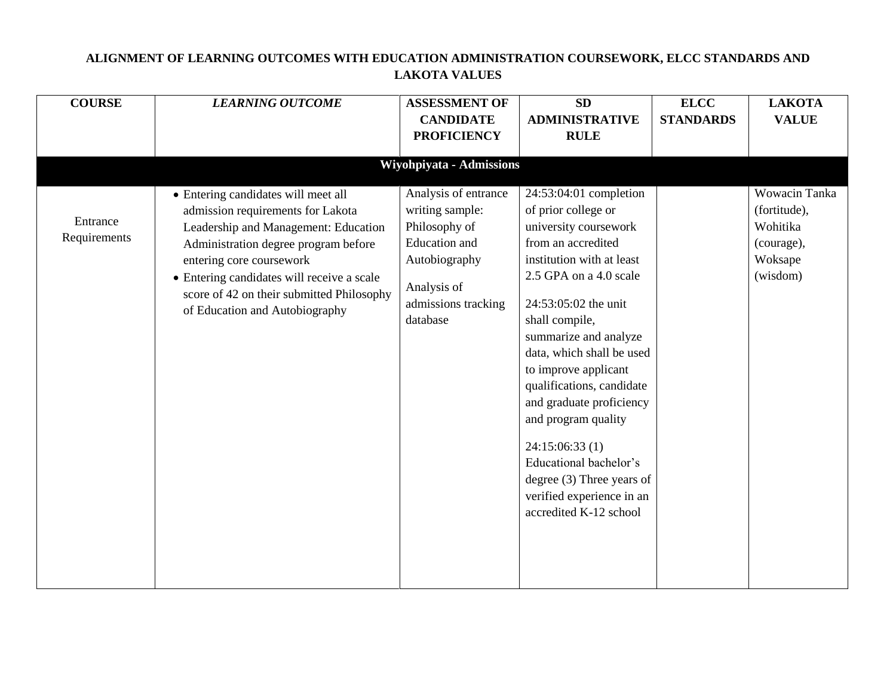| <b>COURSE</b>            | <b>LEARNING OUTCOME</b>                                                                                                                                                                                                                                                                                           | <b>ASSESSMENT OF</b>                                                                                                                                | <b>SD</b>                                                                                                                                                                                                                                                                                                                                                                                                                                                                                     | <b>ELCC</b>      | <b>LAKOTA</b>                                                                  |
|--------------------------|-------------------------------------------------------------------------------------------------------------------------------------------------------------------------------------------------------------------------------------------------------------------------------------------------------------------|-----------------------------------------------------------------------------------------------------------------------------------------------------|-----------------------------------------------------------------------------------------------------------------------------------------------------------------------------------------------------------------------------------------------------------------------------------------------------------------------------------------------------------------------------------------------------------------------------------------------------------------------------------------------|------------------|--------------------------------------------------------------------------------|
|                          |                                                                                                                                                                                                                                                                                                                   | <b>CANDIDATE</b>                                                                                                                                    | <b>ADMINISTRATIVE</b>                                                                                                                                                                                                                                                                                                                                                                                                                                                                         | <b>STANDARDS</b> | <b>VALUE</b>                                                                   |
|                          |                                                                                                                                                                                                                                                                                                                   | <b>PROFICIENCY</b>                                                                                                                                  | <b>RULE</b>                                                                                                                                                                                                                                                                                                                                                                                                                                                                                   |                  |                                                                                |
|                          |                                                                                                                                                                                                                                                                                                                   |                                                                                                                                                     |                                                                                                                                                                                                                                                                                                                                                                                                                                                                                               |                  |                                                                                |
|                          |                                                                                                                                                                                                                                                                                                                   | Wiyohpiyata - Admissions                                                                                                                            |                                                                                                                                                                                                                                                                                                                                                                                                                                                                                               |                  |                                                                                |
| Entrance<br>Requirements | • Entering candidates will meet all<br>admission requirements for Lakota<br>Leadership and Management: Education<br>Administration degree program before<br>entering core coursework<br>• Entering candidates will receive a scale<br>score of 42 on their submitted Philosophy<br>of Education and Autobiography | Analysis of entrance<br>writing sample:<br>Philosophy of<br><b>Education</b> and<br>Autobiography<br>Analysis of<br>admissions tracking<br>database | 24:53:04:01 completion<br>of prior college or<br>university coursework<br>from an accredited<br>institution with at least<br>2.5 GPA on a 4.0 scale<br>24:53:05:02 the unit<br>shall compile,<br>summarize and analyze<br>data, which shall be used<br>to improve applicant<br>qualifications, candidate<br>and graduate proficiency<br>and program quality<br>24:15:06:33(1)<br>Educational bachelor's<br>degree $(3)$ Three years of<br>verified experience in an<br>accredited K-12 school |                  | Wowacin Tanka<br>(fortitude),<br>Wohitika<br>(courage),<br>Woksape<br>(wisdom) |

## **ALIGNMENT OF LEARNING OUTCOMES WITH EDUCATION ADMINISTRATION COURSEWORK, ELCC STANDARDS AND LAKOTA VALUES**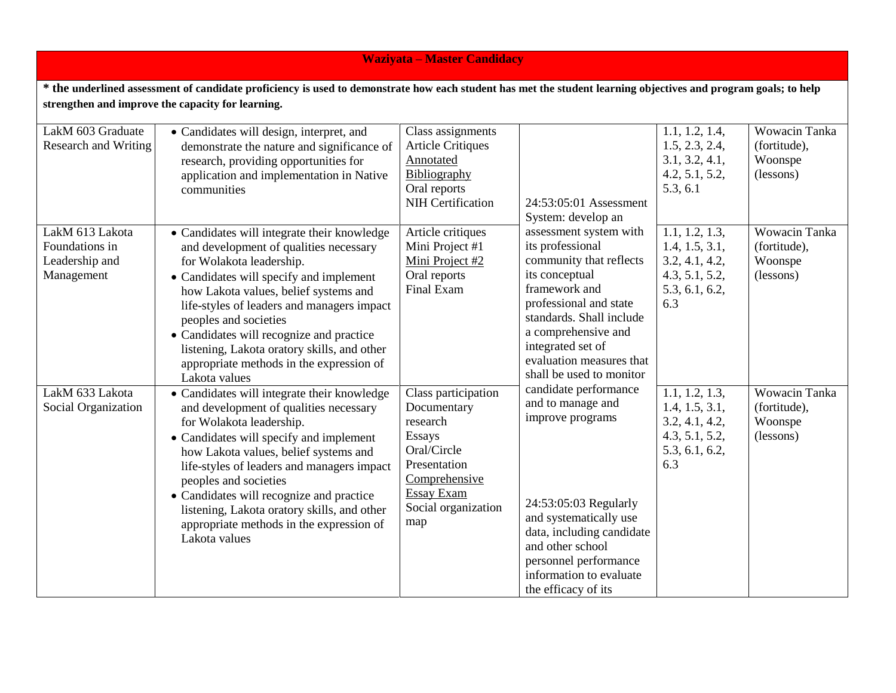## **Waziyata – Master Candidacy**

**\* the underlined assessment of candidate proficiency is used to demonstrate how each student has met the student learning objectives and program goals; to help strengthen and improve the capacity for learning.**

| LakM 603 Graduate<br><b>Research and Writing</b>                  | • Candidates will design, interpret, and<br>demonstrate the nature and significance of<br>research, providing opportunities for<br>application and implementation in Native<br>communities                                                                                                                                                                                                                                           | Class assignments<br><b>Article Critiques</b><br>Annotated<br>Bibliography<br>Oral reports<br><b>NIH Certification</b>                                             | 24:53:05:01 Assessment<br>System: develop an                                                                                                                                                                                                                       | 1.1, 1.2, 1.4,<br>1.5, 2.3, 2.4,<br>3.1, 3.2, 4.1,<br>4.2, 5.1, 5.2,<br>5.3, 6.1              | Wowacin Tanka<br>(fortitude),<br>Woonspe<br>(lessons) |
|-------------------------------------------------------------------|--------------------------------------------------------------------------------------------------------------------------------------------------------------------------------------------------------------------------------------------------------------------------------------------------------------------------------------------------------------------------------------------------------------------------------------|--------------------------------------------------------------------------------------------------------------------------------------------------------------------|--------------------------------------------------------------------------------------------------------------------------------------------------------------------------------------------------------------------------------------------------------------------|-----------------------------------------------------------------------------------------------|-------------------------------------------------------|
| LakM 613 Lakota<br>Foundations in<br>Leadership and<br>Management | • Candidates will integrate their knowledge<br>and development of qualities necessary<br>for Wolakota leadership.<br>• Candidates will specify and implement<br>how Lakota values, belief systems and<br>life-styles of leaders and managers impact<br>peoples and societies<br>• Candidates will recognize and practice<br>listening, Lakota oratory skills, and other<br>appropriate methods in the expression of<br>Lakota values | Article critiques<br>Mini Project #1<br>Mini Project #2<br>Oral reports<br><b>Final Exam</b>                                                                       | assessment system with<br>its professional<br>community that reflects<br>its conceptual<br>framework and<br>professional and state<br>standards. Shall include<br>a comprehensive and<br>integrated set of<br>evaluation measures that<br>shall be used to monitor | 1.1, 1.2, 1.3,<br>1.4, 1.5, 3.1,<br>3.2, 4.1, 4.2,<br>4.3, 5.1, 5.2,<br>5.3, 6.1, 6.2,<br>6.3 | Wowacin Tanka<br>(fortitude),<br>Woonspe<br>(lessons) |
| LakM 633 Lakota<br>Social Organization                            | • Candidates will integrate their knowledge<br>and development of qualities necessary<br>for Wolakota leadership.<br>• Candidates will specify and implement<br>how Lakota values, belief systems and<br>life-styles of leaders and managers impact<br>peoples and societies<br>• Candidates will recognize and practice<br>listening, Lakota oratory skills, and other<br>appropriate methods in the expression of<br>Lakota values | Class participation<br>Documentary<br>research<br><b>Essays</b><br>Oral/Circle<br>Presentation<br>Comprehensive<br><b>Essay Exam</b><br>Social organization<br>map | candidate performance<br>and to manage and<br>improve programs<br>24:53:05:03 Regularly<br>and systematically use<br>data, including candidate<br>and other school<br>personnel performance<br>information to evaluate<br>the efficacy of its                      | 1.1, 1.2, 1.3,<br>1.4, 1.5, 3.1,<br>3.2, 4.1, 4.2,<br>4.3, 5.1, 5.2,<br>5.3, 6.1, 6.2,<br>6.3 | Wowacin Tanka<br>(fortitude),<br>Woonspe<br>(lessons) |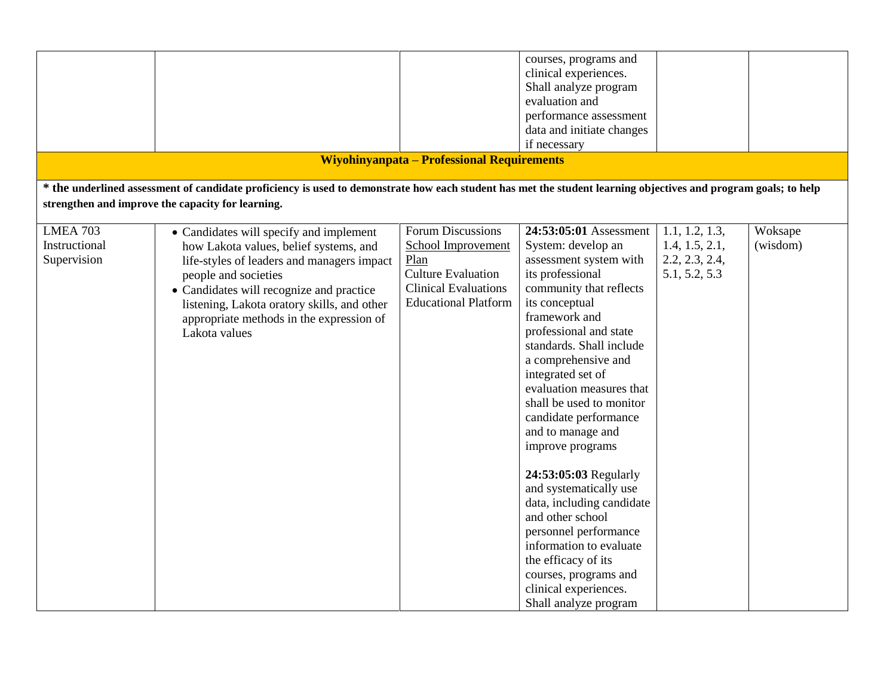|                 |                                                                                                                                                                 |                                                   | courses, programs and     |                |          |
|-----------------|-----------------------------------------------------------------------------------------------------------------------------------------------------------------|---------------------------------------------------|---------------------------|----------------|----------|
|                 |                                                                                                                                                                 |                                                   | clinical experiences.     |                |          |
|                 |                                                                                                                                                                 |                                                   | Shall analyze program     |                |          |
|                 |                                                                                                                                                                 |                                                   | evaluation and            |                |          |
|                 |                                                                                                                                                                 |                                                   | performance assessment    |                |          |
|                 |                                                                                                                                                                 |                                                   | data and initiate changes |                |          |
|                 |                                                                                                                                                                 |                                                   | if necessary              |                |          |
|                 |                                                                                                                                                                 | <b>Wiyohinyanpata - Professional Requirements</b> |                           |                |          |
|                 | * the underlined assessment of candidate proficiency is used to demonstrate how each student has met the student learning objectives and program goals; to help |                                                   |                           |                |          |
|                 | strengthen and improve the capacity for learning.                                                                                                               |                                                   |                           |                |          |
|                 |                                                                                                                                                                 |                                                   |                           |                |          |
| <b>LMEA 703</b> | • Candidates will specify and implement                                                                                                                         | Forum Discussions                                 | 24:53:05:01 Assessment    | 1.1, 1.2, 1.3, | Woksape  |
| Instructional   | how Lakota values, belief systems, and                                                                                                                          | School Improvement                                | System: develop an        | 1.4, 1.5, 2.1, | (wisdom) |
| Supervision     | life-styles of leaders and managers impact                                                                                                                      | Plan                                              | assessment system with    | 2.2, 2.3, 2.4, |          |
|                 | people and societies                                                                                                                                            | <b>Culture Evaluation</b>                         | its professional          | 5.1, 5.2, 5.3  |          |
|                 | • Candidates will recognize and practice                                                                                                                        | <b>Clinical Evaluations</b>                       | community that reflects   |                |          |
|                 | listening, Lakota oratory skills, and other                                                                                                                     | <b>Educational Platform</b>                       | its conceptual            |                |          |
|                 | appropriate methods in the expression of                                                                                                                        |                                                   | framework and             |                |          |
|                 | Lakota values                                                                                                                                                   |                                                   | professional and state    |                |          |
|                 |                                                                                                                                                                 |                                                   | standards. Shall include  |                |          |
|                 |                                                                                                                                                                 |                                                   | a comprehensive and       |                |          |
|                 |                                                                                                                                                                 |                                                   | integrated set of         |                |          |
|                 |                                                                                                                                                                 |                                                   | evaluation measures that  |                |          |
|                 |                                                                                                                                                                 |                                                   | shall be used to monitor  |                |          |
|                 |                                                                                                                                                                 |                                                   |                           |                |          |
|                 |                                                                                                                                                                 |                                                   | candidate performance     |                |          |
|                 |                                                                                                                                                                 |                                                   | and to manage and         |                |          |
|                 |                                                                                                                                                                 |                                                   | improve programs          |                |          |
|                 |                                                                                                                                                                 |                                                   |                           |                |          |
|                 |                                                                                                                                                                 |                                                   | 24:53:05:03 Regularly     |                |          |
|                 |                                                                                                                                                                 |                                                   | and systematically use    |                |          |
|                 |                                                                                                                                                                 |                                                   | data, including candidate |                |          |
|                 |                                                                                                                                                                 |                                                   | and other school          |                |          |
|                 |                                                                                                                                                                 |                                                   | personnel performance     |                |          |
|                 |                                                                                                                                                                 |                                                   | information to evaluate   |                |          |
|                 |                                                                                                                                                                 |                                                   | the efficacy of its       |                |          |
|                 |                                                                                                                                                                 |                                                   | courses, programs and     |                |          |
|                 |                                                                                                                                                                 |                                                   | clinical experiences.     |                |          |
|                 |                                                                                                                                                                 |                                                   | Shall analyze program     |                |          |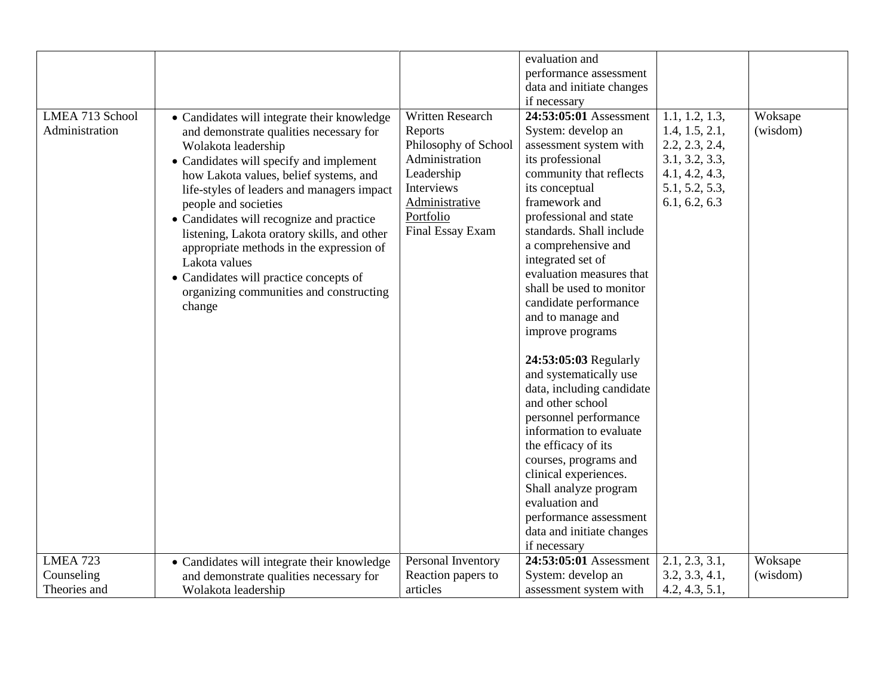|                 |                                             |                      | evaluation and                  |                |          |
|-----------------|---------------------------------------------|----------------------|---------------------------------|----------------|----------|
|                 |                                             |                      | performance assessment          |                |          |
|                 |                                             |                      | data and initiate changes       |                |          |
|                 |                                             |                      | if necessary                    |                |          |
| LMEA 713 School | • Candidates will integrate their knowledge | Written Research     | 24:53:05:01 Assessment          | 1.1, 1.2, 1.3, | Woksape  |
| Administration  | and demonstrate qualities necessary for     | Reports              | System: develop an              | 1.4, 1.5, 2.1, | (wisdom) |
|                 |                                             | Philosophy of School | assessment system with          | 2.2, 2.3, 2.4, |          |
|                 | Wolakota leadership                         | Administration       | its professional                | 3.1, 3.2, 3.3, |          |
|                 | • Candidates will specify and implement     | Leadership           |                                 | 4.1, 4.2, 4.3, |          |
|                 | how Lakota values, belief systems, and      |                      | community that reflects         |                |          |
|                 | life-styles of leaders and managers impact  | Interviews           | its conceptual<br>framework and | 5.1, 5.2, 5.3, |          |
|                 | people and societies                        | Administrative       |                                 | 6.1, 6.2, 6.3  |          |
|                 | • Candidates will recognize and practice    | Portfolio            | professional and state          |                |          |
|                 | listening, Lakota oratory skills, and other | Final Essay Exam     | standards. Shall include        |                |          |
|                 | appropriate methods in the expression of    |                      | a comprehensive and             |                |          |
|                 | Lakota values                               |                      | integrated set of               |                |          |
|                 | • Candidates will practice concepts of      |                      | evaluation measures that        |                |          |
|                 | organizing communities and constructing     |                      | shall be used to monitor        |                |          |
|                 | change                                      |                      | candidate performance           |                |          |
|                 |                                             |                      | and to manage and               |                |          |
|                 |                                             |                      | improve programs                |                |          |
|                 |                                             |                      | 24:53:05:03 Regularly           |                |          |
|                 |                                             |                      | and systematically use          |                |          |
|                 |                                             |                      | data, including candidate       |                |          |
|                 |                                             |                      | and other school                |                |          |
|                 |                                             |                      | personnel performance           |                |          |
|                 |                                             |                      | information to evaluate         |                |          |
|                 |                                             |                      | the efficacy of its             |                |          |
|                 |                                             |                      | courses, programs and           |                |          |
|                 |                                             |                      | clinical experiences.           |                |          |
|                 |                                             |                      | Shall analyze program           |                |          |
|                 |                                             |                      | evaluation and                  |                |          |
|                 |                                             |                      | performance assessment          |                |          |
|                 |                                             |                      | data and initiate changes       |                |          |
|                 |                                             |                      | if necessary                    |                |          |
| LMEA $723$      | • Candidates will integrate their knowledge | Personal Inventory   | 24:53:05:01 Assessment          | 2.1, 2.3, 3.1, | Woksape  |
| Counseling      | and demonstrate qualities necessary for     | Reaction papers to   | System: develop an              | 3.2, 3.3, 4.1, | (wisdom) |
| Theories and    | Wolakota leadership                         | articles             | assessment system with          | 4.2, 4.3, 5.1, |          |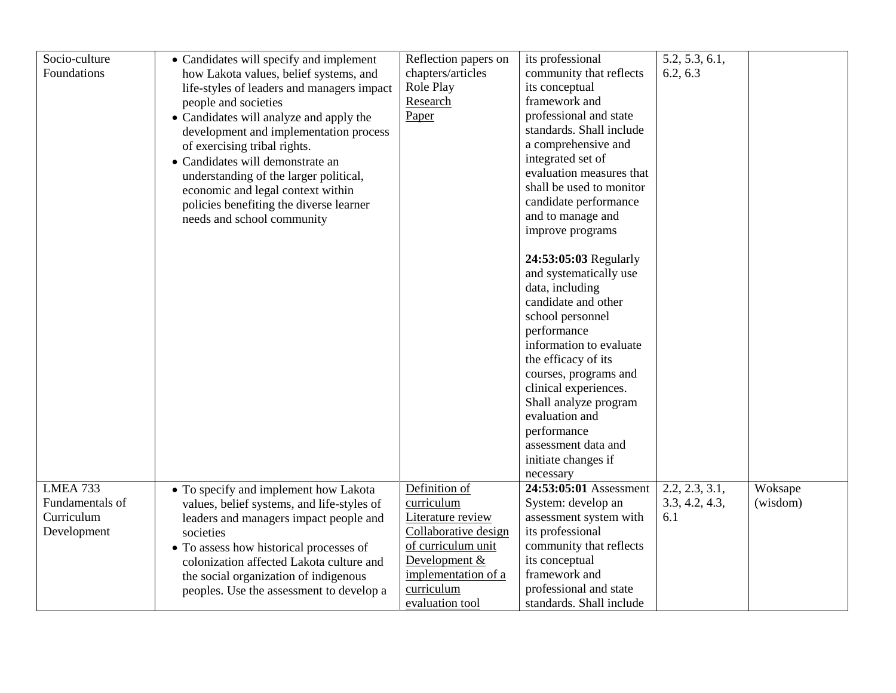| Socio-culture   | • Candidates will specify and implement    | Reflection papers on | its professional         | 5.2, 5.3, 6.1, |          |
|-----------------|--------------------------------------------|----------------------|--------------------------|----------------|----------|
| Foundations     | how Lakota values, belief systems, and     | chapters/articles    | community that reflects  | 6.2, 6.3       |          |
|                 | life-styles of leaders and managers impact | Role Play            | its conceptual           |                |          |
|                 | people and societies                       | Research             | framework and            |                |          |
|                 | • Candidates will analyze and apply the    | Paper                | professional and state   |                |          |
|                 | development and implementation process     |                      | standards. Shall include |                |          |
|                 | of exercising tribal rights.               |                      | a comprehensive and      |                |          |
|                 | · Candidates will demonstrate an           |                      | integrated set of        |                |          |
|                 | understanding of the larger political,     |                      | evaluation measures that |                |          |
|                 | economic and legal context within          |                      | shall be used to monitor |                |          |
|                 | policies benefiting the diverse learner    |                      | candidate performance    |                |          |
|                 | needs and school community                 |                      | and to manage and        |                |          |
|                 |                                            |                      | improve programs         |                |          |
|                 |                                            |                      |                          |                |          |
|                 |                                            |                      | 24:53:05:03 Regularly    |                |          |
|                 |                                            |                      | and systematically use   |                |          |
|                 |                                            |                      | data, including          |                |          |
|                 |                                            |                      | candidate and other      |                |          |
|                 |                                            |                      | school personnel         |                |          |
|                 |                                            |                      | performance              |                |          |
|                 |                                            |                      | information to evaluate  |                |          |
|                 |                                            |                      | the efficacy of its      |                |          |
|                 |                                            |                      | courses, programs and    |                |          |
|                 |                                            |                      | clinical experiences.    |                |          |
|                 |                                            |                      | Shall analyze program    |                |          |
|                 |                                            |                      | evaluation and           |                |          |
|                 |                                            |                      | performance              |                |          |
|                 |                                            |                      | assessment data and      |                |          |
|                 |                                            |                      | initiate changes if      |                |          |
|                 |                                            |                      | necessary                |                |          |
| LMEA 733        | • To specify and implement how Lakota      | Definition of        | 24:53:05:01 Assessment   | 2.2, 2.3, 3.1, | Woksape  |
| Fundamentals of | values, belief systems, and life-styles of | curriculum           | System: develop an       | 3.3, 4.2, 4.3, | (wisdom) |
| Curriculum      | leaders and managers impact people and     | Literature review    | assessment system with   | 6.1            |          |
| Development     | societies                                  | Collaborative design | its professional         |                |          |
|                 | • To assess how historical processes of    | of curriculum unit   | community that reflects  |                |          |
|                 | colonization affected Lakota culture and   | Development &        | its conceptual           |                |          |
|                 | the social organization of indigenous      | implementation of a  | framework and            |                |          |
|                 | peoples. Use the assessment to develop a   | curriculum           | professional and state   |                |          |
|                 |                                            | evaluation tool      | standards. Shall include |                |          |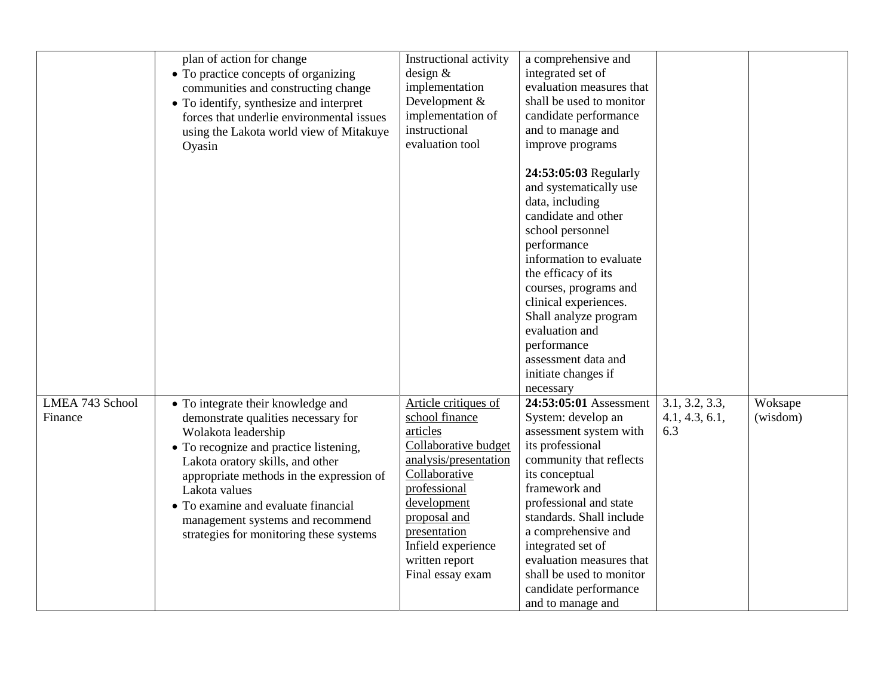|                            | plan of action for change<br>• To practice concepts of organizing<br>communities and constructing change<br>• To identify, synthesize and interpret<br>forces that underlie environmental issues<br>using the Lakota world view of Mitakuye<br>Oyasin                                                                                                             | Instructional activity<br>design $&$<br>implementation<br>Development &<br>implementation of<br>instructional<br>evaluation tool                                                                                                                | a comprehensive and<br>integrated set of<br>evaluation measures that<br>shall be used to monitor<br>candidate performance<br>and to manage and<br>improve programs                                                                                                                                                                                               |                                         |                     |
|----------------------------|-------------------------------------------------------------------------------------------------------------------------------------------------------------------------------------------------------------------------------------------------------------------------------------------------------------------------------------------------------------------|-------------------------------------------------------------------------------------------------------------------------------------------------------------------------------------------------------------------------------------------------|------------------------------------------------------------------------------------------------------------------------------------------------------------------------------------------------------------------------------------------------------------------------------------------------------------------------------------------------------------------|-----------------------------------------|---------------------|
|                            |                                                                                                                                                                                                                                                                                                                                                                   |                                                                                                                                                                                                                                                 | 24:53:05:03 Regularly<br>and systematically use<br>data, including<br>candidate and other<br>school personnel<br>performance<br>information to evaluate<br>the efficacy of its<br>courses, programs and<br>clinical experiences.<br>Shall analyze program<br>evaluation and<br>performance<br>assessment data and<br>initiate changes if<br>necessary            |                                         |                     |
| LMEA 743 School<br>Finance | • To integrate their knowledge and<br>demonstrate qualities necessary for<br>Wolakota leadership<br>• To recognize and practice listening,<br>Lakota oratory skills, and other<br>appropriate methods in the expression of<br>Lakota values<br>• To examine and evaluate financial<br>management systems and recommend<br>strategies for monitoring these systems | Article critiques of<br>school finance<br>articles<br>Collaborative budget<br>analysis/presentation<br>Collaborative<br>professional<br>development<br>proposal and<br>presentation<br>Infield experience<br>written report<br>Final essay exam | 24:53:05:01 Assessment<br>System: develop an<br>assessment system with<br>its professional<br>community that reflects<br>its conceptual<br>framework and<br>professional and state<br>standards. Shall include<br>a comprehensive and<br>integrated set of<br>evaluation measures that<br>shall be used to monitor<br>candidate performance<br>and to manage and | 3.1, 3.2, 3.3,<br>4.1, 4.3, 6.1,<br>6.3 | Woksape<br>(wisdom) |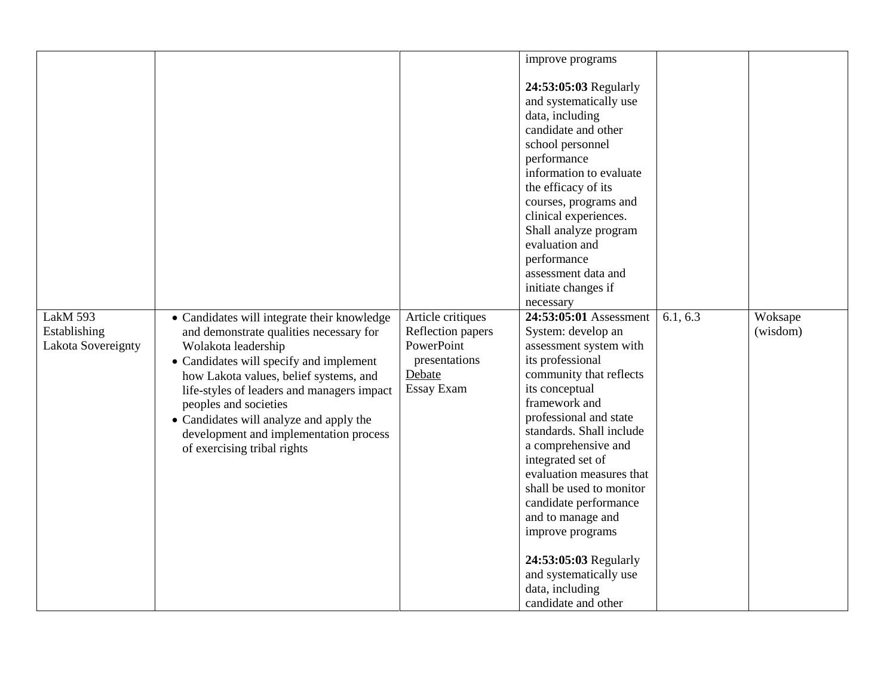|                    |                                             |                   | improve programs         |          |          |
|--------------------|---------------------------------------------|-------------------|--------------------------|----------|----------|
|                    |                                             |                   |                          |          |          |
|                    |                                             |                   | 24:53:05:03 Regularly    |          |          |
|                    |                                             |                   | and systematically use   |          |          |
|                    |                                             |                   | data, including          |          |          |
|                    |                                             |                   | candidate and other      |          |          |
|                    |                                             |                   | school personnel         |          |          |
|                    |                                             |                   | performance              |          |          |
|                    |                                             |                   | information to evaluate  |          |          |
|                    |                                             |                   | the efficacy of its      |          |          |
|                    |                                             |                   | courses, programs and    |          |          |
|                    |                                             |                   | clinical experiences.    |          |          |
|                    |                                             |                   | Shall analyze program    |          |          |
|                    |                                             |                   | evaluation and           |          |          |
|                    |                                             |                   | performance              |          |          |
|                    |                                             |                   | assessment data and      |          |          |
|                    |                                             |                   | initiate changes if      |          |          |
|                    |                                             |                   | necessary                |          |          |
| LakM 593           | • Candidates will integrate their knowledge | Article critiques | 24:53:05:01 Assessment   | 6.1, 6.3 | Woksape  |
| Establishing       | and demonstrate qualities necessary for     | Reflection papers | System: develop an       |          | (wisdom) |
| Lakota Sovereignty | Wolakota leadership                         | PowerPoint        | assessment system with   |          |          |
|                    | • Candidates will specify and implement     | presentations     | its professional         |          |          |
|                    | how Lakota values, belief systems, and      | Debate            | community that reflects  |          |          |
|                    | life-styles of leaders and managers impact  | Essay Exam        | its conceptual           |          |          |
|                    | peoples and societies                       |                   | framework and            |          |          |
|                    | • Candidates will analyze and apply the     |                   | professional and state   |          |          |
|                    | development and implementation process      |                   | standards. Shall include |          |          |
|                    | of exercising tribal rights                 |                   | a comprehensive and      |          |          |
|                    |                                             |                   | integrated set of        |          |          |
|                    |                                             |                   | evaluation measures that |          |          |
|                    |                                             |                   | shall be used to monitor |          |          |
|                    |                                             |                   | candidate performance    |          |          |
|                    |                                             |                   | and to manage and        |          |          |
|                    |                                             |                   | improve programs         |          |          |
|                    |                                             |                   |                          |          |          |
|                    |                                             |                   | 24:53:05:03 Regularly    |          |          |
|                    |                                             |                   | and systematically use   |          |          |
|                    |                                             |                   |                          |          |          |
|                    |                                             |                   | data, including          |          |          |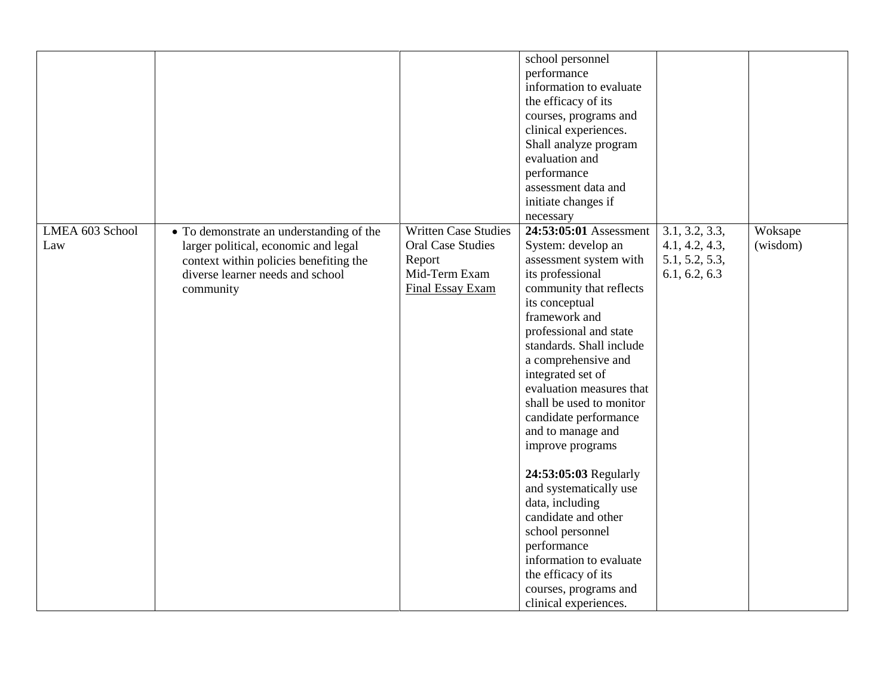|                 |                                          |                             | school personnel<br>performance |                |          |
|-----------------|------------------------------------------|-----------------------------|---------------------------------|----------------|----------|
|                 |                                          |                             | information to evaluate         |                |          |
|                 |                                          |                             | the efficacy of its             |                |          |
|                 |                                          |                             | courses, programs and           |                |          |
|                 |                                          |                             | clinical experiences.           |                |          |
|                 |                                          |                             | Shall analyze program           |                |          |
|                 |                                          |                             | evaluation and                  |                |          |
|                 |                                          |                             | performance                     |                |          |
|                 |                                          |                             | assessment data and             |                |          |
|                 |                                          |                             | initiate changes if             |                |          |
|                 |                                          |                             | necessary                       |                |          |
| LMEA 603 School | • To demonstrate an understanding of the | <b>Written Case Studies</b> | 24:53:05:01 Assessment          | 3.1, 3.2, 3.3, | Woksape  |
| Law             | larger political, economic and legal     | <b>Oral Case Studies</b>    | System: develop an              | 4.1, 4.2, 4.3, | (wisdom) |
|                 | context within policies benefiting the   | Report                      | assessment system with          | 5.1, 5.2, 5.3, |          |
|                 | diverse learner needs and school         | Mid-Term Exam               | its professional                | 6.1, 6.2, 6.3  |          |
|                 | community                                | Final Essay Exam            | community that reflects         |                |          |
|                 |                                          |                             | its conceptual                  |                |          |
|                 |                                          |                             | framework and                   |                |          |
|                 |                                          |                             | professional and state          |                |          |
|                 |                                          |                             | standards. Shall include        |                |          |
|                 |                                          |                             | a comprehensive and             |                |          |
|                 |                                          |                             | integrated set of               |                |          |
|                 |                                          |                             | evaluation measures that        |                |          |
|                 |                                          |                             | shall be used to monitor        |                |          |
|                 |                                          |                             | candidate performance           |                |          |
|                 |                                          |                             | and to manage and               |                |          |
|                 |                                          |                             | improve programs                |                |          |
|                 |                                          |                             | 24:53:05:03 Regularly           |                |          |
|                 |                                          |                             | and systematically use          |                |          |
|                 |                                          |                             | data, including                 |                |          |
|                 |                                          |                             | candidate and other             |                |          |
|                 |                                          |                             | school personnel                |                |          |
|                 |                                          |                             | performance                     |                |          |
|                 |                                          |                             | information to evaluate         |                |          |
|                 |                                          |                             | the efficacy of its             |                |          |
|                 |                                          |                             | courses, programs and           |                |          |
|                 |                                          |                             | clinical experiences.           |                |          |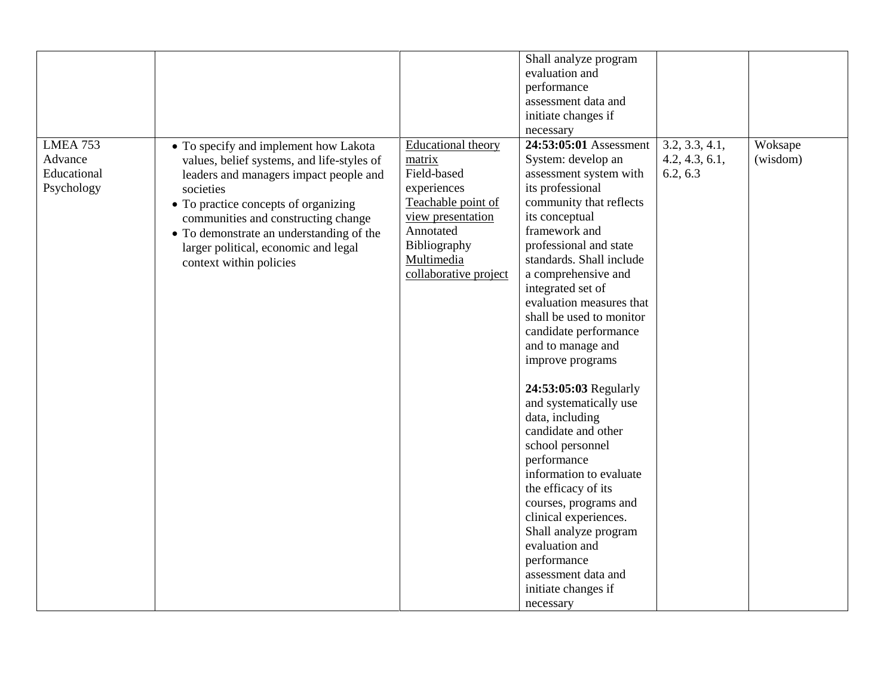|             |                                            |                           | Shall analyze program               |                              |          |
|-------------|--------------------------------------------|---------------------------|-------------------------------------|------------------------------|----------|
|             |                                            |                           | evaluation and                      |                              |          |
|             |                                            |                           | performance                         |                              |          |
|             |                                            |                           | assessment data and                 |                              |          |
|             |                                            |                           | initiate changes if                 |                              |          |
|             |                                            |                           |                                     |                              |          |
| LMEA 753    |                                            |                           | necessary<br>24:53:05:01 Assessment | $3.2, 3.\overline{3, 4.1}$ , |          |
|             | • To specify and implement how Lakota      | <b>Educational theory</b> |                                     |                              | Woksape  |
| Advance     | values, belief systems, and life-styles of | matrix                    | System: develop an                  | 4.2, 4.3, 6.1,               | (wisdom) |
| Educational | leaders and managers impact people and     | Field-based               | assessment system with              | 6.2, 6.3                     |          |
| Psychology  | societies                                  | experiences               | its professional                    |                              |          |
|             | • To practice concepts of organizing       | Teachable point of        | community that reflects             |                              |          |
|             | communities and constructing change        | view presentation         | its conceptual                      |                              |          |
|             | • To demonstrate an understanding of the   | Annotated                 | framework and                       |                              |          |
|             | larger political, economic and legal       | Bibliography              | professional and state              |                              |          |
|             | context within policies                    | Multimedia                | standards. Shall include            |                              |          |
|             |                                            | collaborative project     | a comprehensive and                 |                              |          |
|             |                                            |                           | integrated set of                   |                              |          |
|             |                                            |                           | evaluation measures that            |                              |          |
|             |                                            |                           | shall be used to monitor            |                              |          |
|             |                                            |                           | candidate performance               |                              |          |
|             |                                            |                           | and to manage and                   |                              |          |
|             |                                            |                           | improve programs                    |                              |          |
|             |                                            |                           |                                     |                              |          |
|             |                                            |                           | 24:53:05:03 Regularly               |                              |          |
|             |                                            |                           | and systematically use              |                              |          |
|             |                                            |                           | data, including                     |                              |          |
|             |                                            |                           | candidate and other                 |                              |          |
|             |                                            |                           | school personnel                    |                              |          |
|             |                                            |                           | performance                         |                              |          |
|             |                                            |                           | information to evaluate             |                              |          |
|             |                                            |                           | the efficacy of its                 |                              |          |
|             |                                            |                           | courses, programs and               |                              |          |
|             |                                            |                           | clinical experiences.               |                              |          |
|             |                                            |                           | Shall analyze program               |                              |          |
|             |                                            |                           | evaluation and                      |                              |          |
|             |                                            |                           |                                     |                              |          |
|             |                                            |                           | performance                         |                              |          |
|             |                                            |                           | assessment data and                 |                              |          |
|             |                                            |                           | initiate changes if                 |                              |          |
|             |                                            |                           | necessary                           |                              |          |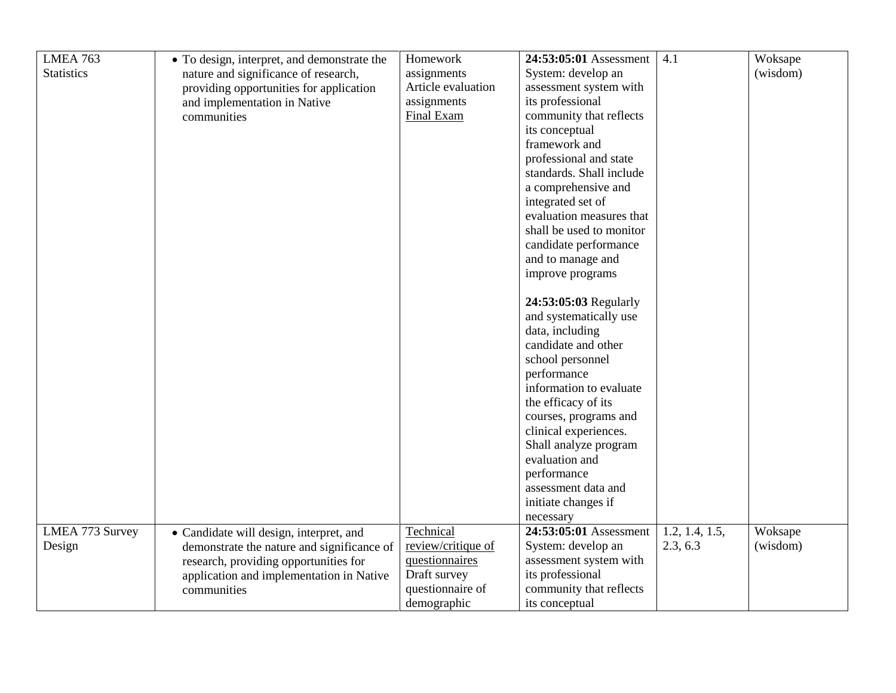| LMEA 763          | • To design, interpret, and demonstrate the | Homework           | 24:53:05:01 Assessment   | 4.1            | Woksape  |
|-------------------|---------------------------------------------|--------------------|--------------------------|----------------|----------|
| <b>Statistics</b> | nature and significance of research,        | assignments        | System: develop an       |                | (wisdom) |
|                   | providing opportunities for application     | Article evaluation | assessment system with   |                |          |
|                   | and implementation in Native                | assignments        | its professional         |                |          |
|                   | communities                                 | Final Exam         | community that reflects  |                |          |
|                   |                                             |                    | its conceptual           |                |          |
|                   |                                             |                    | framework and            |                |          |
|                   |                                             |                    | professional and state   |                |          |
|                   |                                             |                    | standards. Shall include |                |          |
|                   |                                             |                    | a comprehensive and      |                |          |
|                   |                                             |                    | integrated set of        |                |          |
|                   |                                             |                    | evaluation measures that |                |          |
|                   |                                             |                    | shall be used to monitor |                |          |
|                   |                                             |                    | candidate performance    |                |          |
|                   |                                             |                    | and to manage and        |                |          |
|                   |                                             |                    | improve programs         |                |          |
|                   |                                             |                    |                          |                |          |
|                   |                                             |                    | 24:53:05:03 Regularly    |                |          |
|                   |                                             |                    | and systematically use   |                |          |
|                   |                                             |                    | data, including          |                |          |
|                   |                                             |                    | candidate and other      |                |          |
|                   |                                             |                    | school personnel         |                |          |
|                   |                                             |                    | performance              |                |          |
|                   |                                             |                    | information to evaluate  |                |          |
|                   |                                             |                    | the efficacy of its      |                |          |
|                   |                                             |                    | courses, programs and    |                |          |
|                   |                                             |                    | clinical experiences.    |                |          |
|                   |                                             |                    | Shall analyze program    |                |          |
|                   |                                             |                    | evaluation and           |                |          |
|                   |                                             |                    | performance              |                |          |
|                   |                                             |                    | assessment data and      |                |          |
|                   |                                             |                    | initiate changes if      |                |          |
|                   |                                             |                    | necessary                |                |          |
| LMEA 773 Survey   | • Candidate will design, interpret, and     | Technical          | 24:53:05:01 Assessment   | 1.2, 1.4, 1.5, | Woksape  |
| Design            | demonstrate the nature and significance of  | review/critique of | System: develop an       | 2.3, 6.3       | (wisdom) |
|                   | research, providing opportunities for       | questionnaires     | assessment system with   |                |          |
|                   | application and implementation in Native    | Draft survey       | its professional         |                |          |
|                   | communities                                 | questionnaire of   | community that reflects  |                |          |
|                   |                                             | demographic        | its conceptual           |                |          |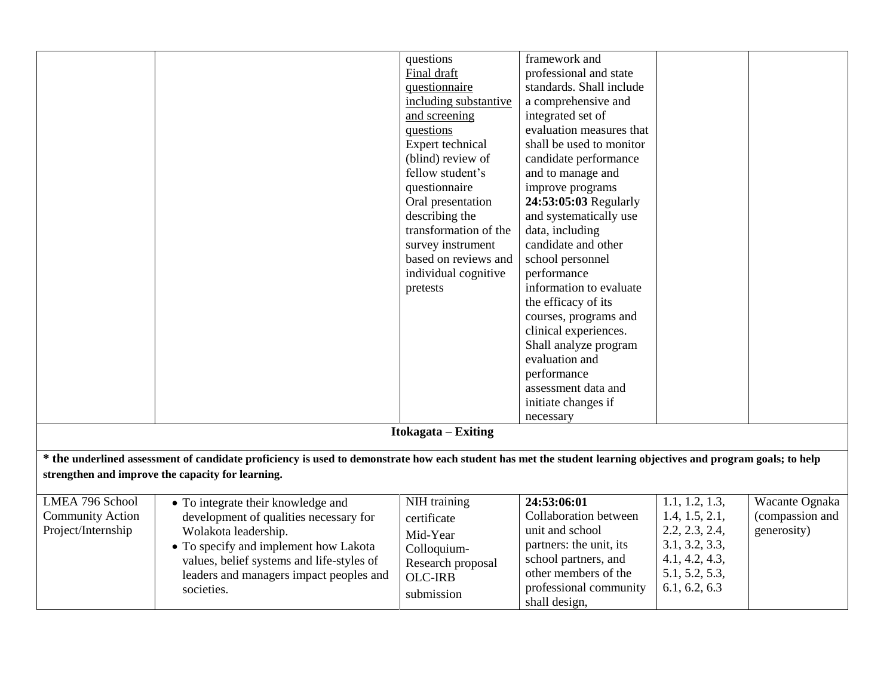|                         |                                                                                                                                                                                                                      | questions<br>Final draft<br>questionnaire<br>including substantive<br>and screening<br>questions<br>Expert technical<br>(blind) review of<br>fellow student's<br>questionnaire<br>Oral presentation<br>describing the<br>transformation of the<br>survey instrument<br>based on reviews and<br>individual cognitive<br>pretests | framework and<br>professional and state<br>standards. Shall include<br>a comprehensive and<br>integrated set of<br>evaluation measures that<br>shall be used to monitor<br>candidate performance<br>and to manage and<br>improve programs<br>24:53:05:03 Regularly<br>and systematically use<br>data, including<br>candidate and other<br>school personnel<br>performance<br>information to evaluate<br>the efficacy of its<br>courses, programs and<br>clinical experiences.<br>Shall analyze program<br>evaluation and<br>performance |                                  |                 |
|-------------------------|----------------------------------------------------------------------------------------------------------------------------------------------------------------------------------------------------------------------|---------------------------------------------------------------------------------------------------------------------------------------------------------------------------------------------------------------------------------------------------------------------------------------------------------------------------------|-----------------------------------------------------------------------------------------------------------------------------------------------------------------------------------------------------------------------------------------------------------------------------------------------------------------------------------------------------------------------------------------------------------------------------------------------------------------------------------------------------------------------------------------|----------------------------------|-----------------|
|                         |                                                                                                                                                                                                                      |                                                                                                                                                                                                                                                                                                                                 | assessment data and<br>initiate changes if                                                                                                                                                                                                                                                                                                                                                                                                                                                                                              |                                  |                 |
|                         |                                                                                                                                                                                                                      |                                                                                                                                                                                                                                                                                                                                 | necessary                                                                                                                                                                                                                                                                                                                                                                                                                                                                                                                               |                                  |                 |
|                         |                                                                                                                                                                                                                      | Itokagata – Exiting                                                                                                                                                                                                                                                                                                             |                                                                                                                                                                                                                                                                                                                                                                                                                                                                                                                                         |                                  |                 |
|                         |                                                                                                                                                                                                                      |                                                                                                                                                                                                                                                                                                                                 |                                                                                                                                                                                                                                                                                                                                                                                                                                                                                                                                         |                                  |                 |
|                         | * the underlined assessment of candidate proficiency is used to demonstrate how each student has met the student learning objectives and program goals; to help<br>strengthen and improve the capacity for learning. |                                                                                                                                                                                                                                                                                                                                 |                                                                                                                                                                                                                                                                                                                                                                                                                                                                                                                                         |                                  |                 |
| LMEA 796 School         | • To integrate their knowledge and                                                                                                                                                                                   | NIH training                                                                                                                                                                                                                                                                                                                    | 24:53:06:01                                                                                                                                                                                                                                                                                                                                                                                                                                                                                                                             | 1.1, 1.2, 1.3,                   | Wacante Ognaka  |
| <b>Community Action</b> | development of qualities necessary for                                                                                                                                                                               | certificate                                                                                                                                                                                                                                                                                                                     | Collaboration between                                                                                                                                                                                                                                                                                                                                                                                                                                                                                                                   | 1.4, 1.5, 2.1,                   | (compassion and |
| Project/Internship      | Wolakota leadership.                                                                                                                                                                                                 | Mid-Year                                                                                                                                                                                                                                                                                                                        | unit and school                                                                                                                                                                                                                                                                                                                                                                                                                                                                                                                         | 2.2, 2.3, 2.4,                   | generosity)     |
|                         | • To specify and implement how Lakota                                                                                                                                                                                | Colloquium-                                                                                                                                                                                                                                                                                                                     | partners: the unit, its                                                                                                                                                                                                                                                                                                                                                                                                                                                                                                                 | 3.1, 3.2, 3.3,                   |                 |
|                         | values, belief systems and life-styles of                                                                                                                                                                            | Research proposal                                                                                                                                                                                                                                                                                                               | school partners, and<br>other members of the                                                                                                                                                                                                                                                                                                                                                                                                                                                                                            | 4.1, 4.2, 4.3,<br>5.1, 5.2, 5.3, |                 |
|                         | leaders and managers impact peoples and<br>societies.                                                                                                                                                                | <b>OLC-IRB</b>                                                                                                                                                                                                                                                                                                                  | professional community                                                                                                                                                                                                                                                                                                                                                                                                                                                                                                                  | 6.1, 6.2, 6.3                    |                 |
|                         |                                                                                                                                                                                                                      | submission                                                                                                                                                                                                                                                                                                                      | shall design,                                                                                                                                                                                                                                                                                                                                                                                                                                                                                                                           |                                  |                 |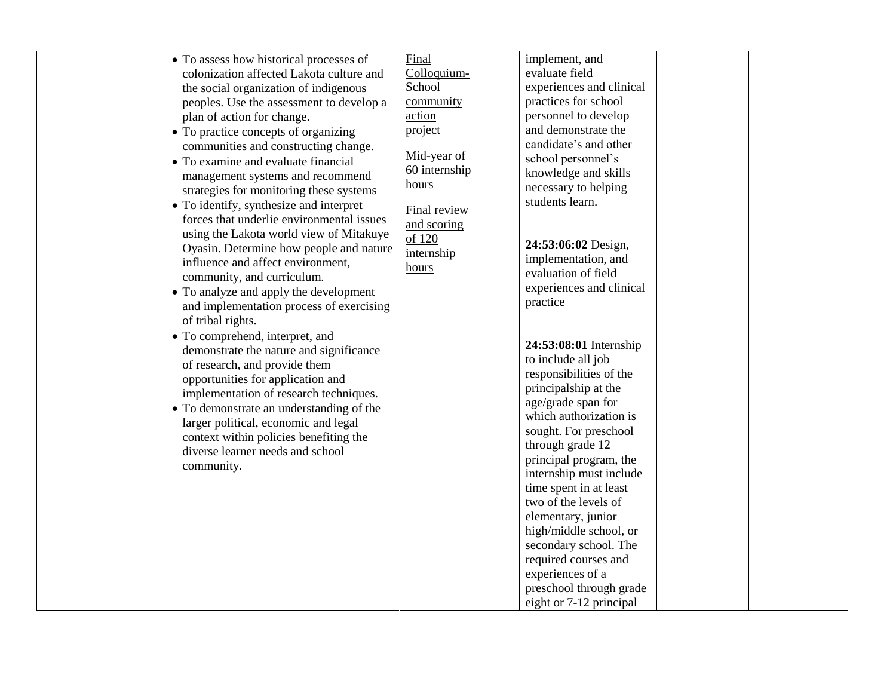|                                                                                     | Final               | implement, and           |  |
|-------------------------------------------------------------------------------------|---------------------|--------------------------|--|
| • To assess how historical processes of<br>colonization affected Lakota culture and | Colloquium-         | evaluate field           |  |
|                                                                                     | School              | experiences and clinical |  |
| the social organization of indigenous                                               |                     |                          |  |
| peoples. Use the assessment to develop a                                            | community<br>action | practices for school     |  |
| plan of action for change.                                                          |                     | personnel to develop     |  |
| • To practice concepts of organizing                                                | project             | and demonstrate the      |  |
| communities and constructing change.                                                | Mid-year of         | candidate's and other    |  |
| • To examine and evaluate financial                                                 | 60 internship       | school personnel's       |  |
| management systems and recommend                                                    | hours               | knowledge and skills     |  |
| strategies for monitoring these systems                                             |                     | necessary to helping     |  |
| • To identify, synthesize and interpret                                             | Final review        | students learn.          |  |
| forces that underlie environmental issues                                           | and scoring         |                          |  |
| using the Lakota world view of Mitakuye                                             | of 120              |                          |  |
| Oyasin. Determine how people and nature                                             | internship          | 24:53:06:02 Design,      |  |
| influence and affect environment,                                                   | hours               | implementation, and      |  |
| community, and curriculum.                                                          |                     | evaluation of field      |  |
| • To analyze and apply the development                                              |                     | experiences and clinical |  |
| and implementation process of exercising                                            |                     | practice                 |  |
| of tribal rights.                                                                   |                     |                          |  |
| • To comprehend, interpret, and                                                     |                     |                          |  |
| demonstrate the nature and significance                                             |                     | 24:53:08:01 Internship   |  |
| of research, and provide them                                                       |                     | to include all job       |  |
| opportunities for application and                                                   |                     | responsibilities of the  |  |
| implementation of research techniques.                                              |                     | principalship at the     |  |
| • To demonstrate an understanding of the                                            |                     | age/grade span for       |  |
| larger political, economic and legal                                                |                     | which authorization is   |  |
| context within policies benefiting the                                              |                     | sought. For preschool    |  |
| diverse learner needs and school                                                    |                     | through grade 12         |  |
| community.                                                                          |                     | principal program, the   |  |
|                                                                                     |                     | internship must include  |  |
|                                                                                     |                     | time spent in at least   |  |
|                                                                                     |                     | two of the levels of     |  |
|                                                                                     |                     | elementary, junior       |  |
|                                                                                     |                     | high/middle school, or   |  |
|                                                                                     |                     | secondary school. The    |  |
|                                                                                     |                     | required courses and     |  |
|                                                                                     |                     | experiences of a         |  |
|                                                                                     |                     | preschool through grade  |  |
|                                                                                     |                     | eight or 7-12 principal  |  |